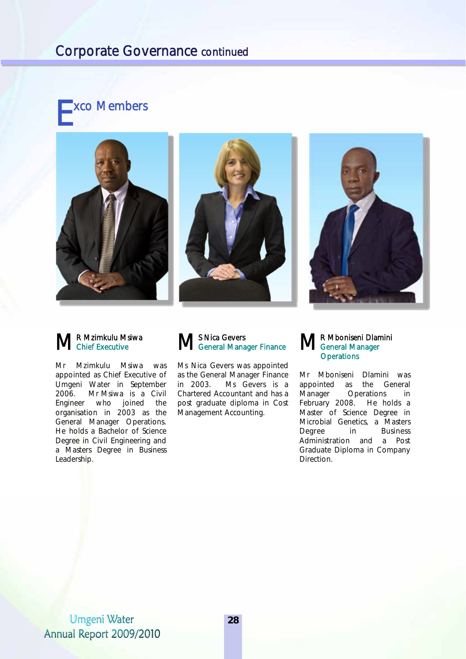# Corporate Governance continued









### R Mzimkulu Msiwa Chief Executive

Mr Mzimkulu Msiwa was appointed as Chief Executive of Umgeni Water in September 2006. Mr Msiwa is a Civil Engineer who joined the organisation in 2003 as the General Manager Operations. He holds a Bachelor of Science Degree in Civil Engineering and a Masters Degree in Business Leadership.



Ms Nica Gevers was appointed as the General Manager Finance in 2003. Ms Gevers is a Chartered Accountant and has a post graduate diploma in Cost Management Accounting.

#### R Mboniseni Dlamini General Manager **Operations**

Mr Mboniseni Dlamini was appointed as the General Manager Operations in February 2008. He holds a Master of Science Degree in Microbial Genetics, a Masters Degree in Business Administration and a Post Graduate Diploma in Company Direction.

## **Umgeni Water** Annual Report 2009/2010